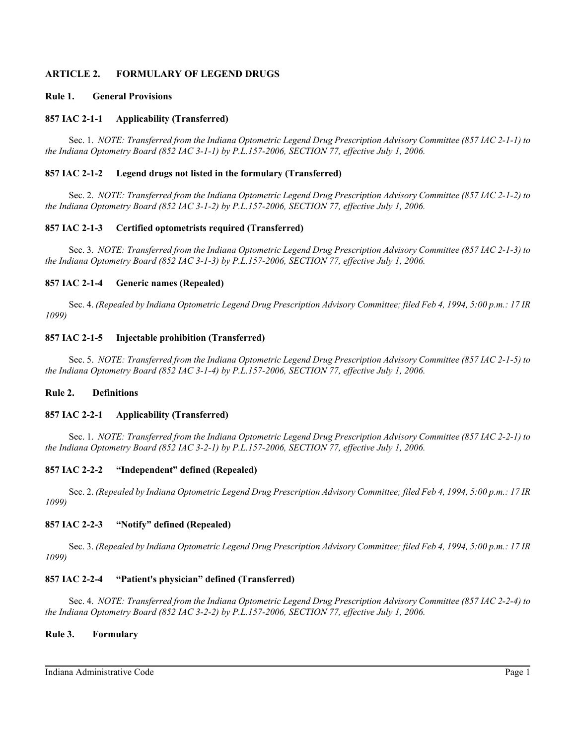## **ARTICLE 2. FORMULARY OF LEGEND DRUGS**

### **Rule 1. General Provisions**

### **857 IAC 2-1-1 Applicability (Transferred)**

Sec. 1. *NOTE: Transferred from the Indiana Optometric Legend Drug Prescription Advisory Committee (857 IAC 2-1-1) to the Indiana Optometry Board (852 IAC 3-1-1) by P.L.157-2006, SECTION 77, effective July 1, 2006.*

### **857 IAC 2-1-2 Legend drugs not listed in the formulary (Transferred)**

Sec. 2. *NOTE: Transferred from the Indiana Optometric Legend Drug Prescription Advisory Committee (857 IAC 2-1-2) to the Indiana Optometry Board (852 IAC 3-1-2) by P.L.157-2006, SECTION 77, effective July 1, 2006.*

### **857 IAC 2-1-3 Certified optometrists required (Transferred)**

Sec. 3. *NOTE: Transferred from the Indiana Optometric Legend Drug Prescription Advisory Committee (857 IAC 2-1-3) to the Indiana Optometry Board (852 IAC 3-1-3) by P.L.157-2006, SECTION 77, effective July 1, 2006.*

### **857 IAC 2-1-4 Generic names (Repealed)**

Sec. 4. *(Repealed by Indiana Optometric Legend Drug Prescription Advisory Committee; filed Feb 4, 1994, 5:00 p.m.: 17 IR 1099)*

### **857 IAC 2-1-5 Injectable prohibition (Transferred)**

Sec. 5. *NOTE: Transferred from the Indiana Optometric Legend Drug Prescription Advisory Committee (857 IAC 2-1-5) to the Indiana Optometry Board (852 IAC 3-1-4) by P.L.157-2006, SECTION 77, effective July 1, 2006.*

### **Rule 2. Definitions**

### **857 IAC 2-2-1 Applicability (Transferred)**

Sec. 1. *NOTE: Transferred from the Indiana Optometric Legend Drug Prescription Advisory Committee (857 IAC 2-2-1) to the Indiana Optometry Board (852 IAC 3-2-1) by P.L.157-2006, SECTION 77, effective July 1, 2006.*

### **857 IAC 2-2-2 "Independent" defined (Repealed)**

Sec. 2. *(Repealed by Indiana Optometric Legend Drug Prescription Advisory Committee; filed Feb 4, 1994, 5:00 p.m.: 17 IR 1099)*

### **857 IAC 2-2-3 "Notify" defined (Repealed)**

Sec. 3. *(Repealed by Indiana Optometric Legend Drug Prescription Advisory Committee; filed Feb 4, 1994, 5:00 p.m.: 17 IR 1099)*

### **857 IAC 2-2-4 "Patient's physician" defined (Transferred)**

Sec. 4. *NOTE: Transferred from the Indiana Optometric Legend Drug Prescription Advisory Committee (857 IAC 2-2-4) to the Indiana Optometry Board (852 IAC 3-2-2) by P.L.157-2006, SECTION 77, effective July 1, 2006.*

### **Rule 3. Formulary**

Indiana Administrative Code Page 1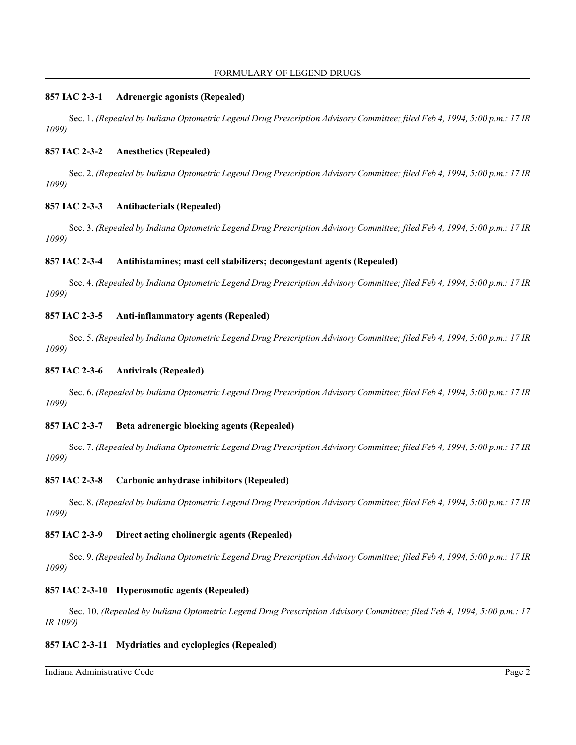### **857 IAC 2-3-1 Adrenergic agonists (Repealed)**

Sec. 1. *(Repealed by Indiana Optometric Legend Drug Prescription Advisory Committee; filed Feb 4, 1994, 5:00 p.m.: 17 IR 1099)*

## **857 IAC 2-3-2 Anesthetics (Repealed)**

Sec. 2. *(Repealed by Indiana Optometric Legend Drug Prescription Advisory Committee; filed Feb 4, 1994, 5:00 p.m.: 17 IR 1099)*

### **857 IAC 2-3-3 Antibacterials (Repealed)**

Sec. 3. *(Repealed by Indiana Optometric Legend Drug Prescription Advisory Committee; filed Feb 4, 1994, 5:00 p.m.: 17 IR 1099)*

### **857 IAC 2-3-4 Antihistamines; mast cell stabilizers; decongestant agents (Repealed)**

Sec. 4. *(Repealed by Indiana Optometric Legend Drug Prescription Advisory Committee; filed Feb 4, 1994, 5:00 p.m.: 17 IR 1099)*

### **857 IAC 2-3-5 Anti-inflammatory agents (Repealed)**

Sec. 5. *(Repealed by Indiana Optometric Legend Drug Prescription Advisory Committee; filed Feb 4, 1994, 5:00 p.m.: 17 IR 1099)*

### **857 IAC 2-3-6 Antivirals (Repealed)**

Sec. 6. *(Repealed by Indiana Optometric Legend Drug Prescription Advisory Committee; filed Feb 4, 1994, 5:00 p.m.: 17 IR 1099)*

### **857 IAC 2-3-7 Beta adrenergic blocking agents (Repealed)**

Sec. 7. *(Repealed by Indiana Optometric Legend Drug Prescription Advisory Committee; filed Feb 4, 1994, 5:00 p.m.: 17 IR 1099)*

### **857 IAC 2-3-8 Carbonic anhydrase inhibitors (Repealed)**

Sec. 8. *(Repealed by Indiana Optometric Legend Drug Prescription Advisory Committee; filed Feb 4, 1994, 5:00 p.m.: 17 IR 1099)*

## **857 IAC 2-3-9 Direct acting cholinergic agents (Repealed)**

Sec. 9. *(Repealed by Indiana Optometric Legend Drug Prescription Advisory Committee; filed Feb 4, 1994, 5:00 p.m.: 17 IR 1099)*

## **857 IAC 2-3-10 Hyperosmotic agents (Repealed)**

Sec. 10. *(Repealed by Indiana Optometric Legend Drug Prescription Advisory Committee; filed Feb 4, 1994, 5:00 p.m.: 17 IR 1099)*

## **857 IAC 2-3-11 Mydriatics and cycloplegics (Repealed)**

Indiana Administrative Code Page 2